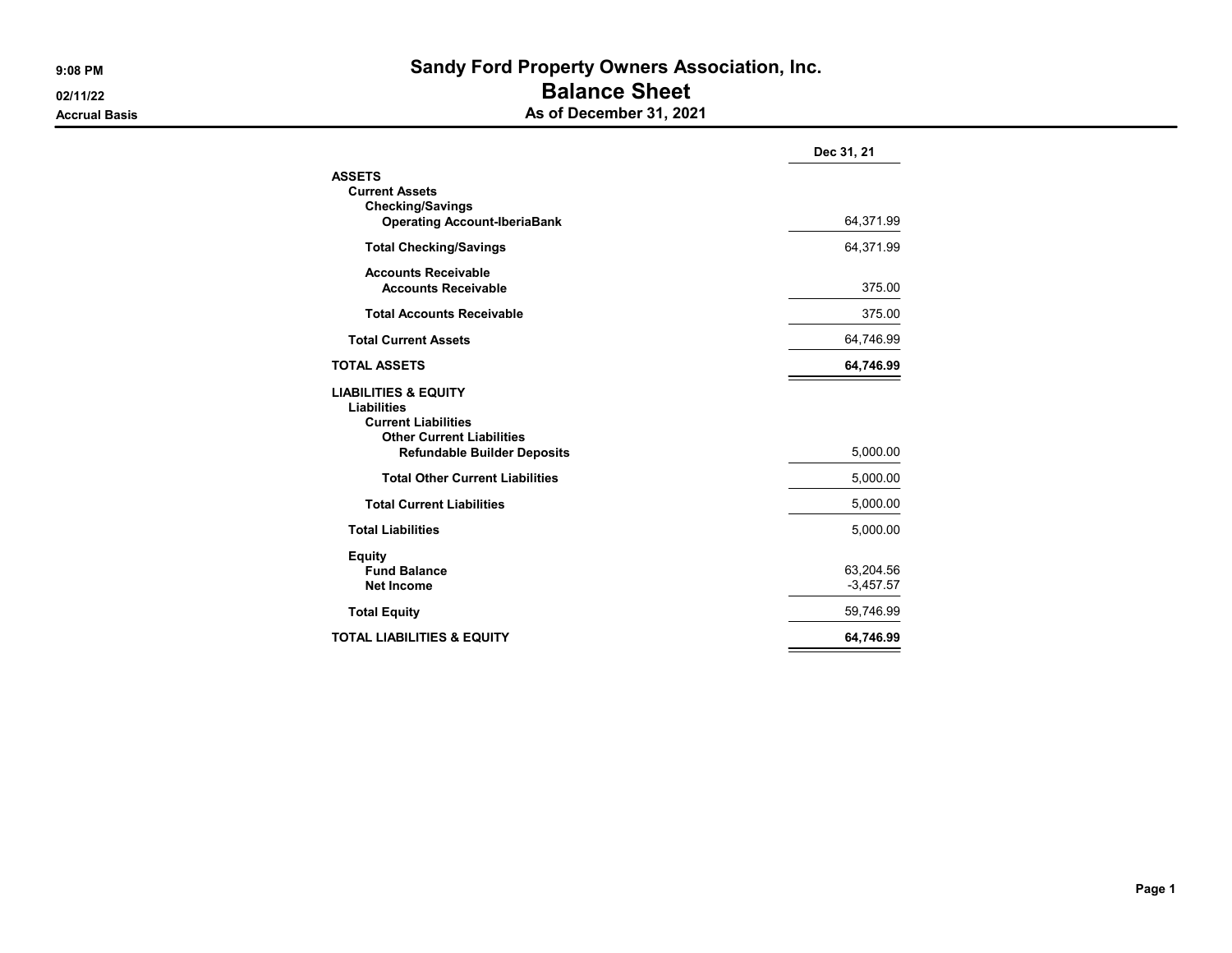## 9:08 PM Sandy Ford Property Owners Association, Inc. **DEAL ASSESSED ASSESSED ASSESSED ASSESSED AND LOCAL CONTRACT CONTROLLER CONTRACT CONTRACT CONTRACT CONTRACT CONTRACT CONTRACT CONTRACT CONTRACT CONTRACT CONTRACT CONTRACT CONTRACT CONTRACT CONTRACT CONTRACT CONTRACT CONTRA** Accrual Basis **Accrual Basis** As of December 31, 2021

|                                                                                                                         | Dec 31, 21  |
|-------------------------------------------------------------------------------------------------------------------------|-------------|
| <b>ASSETS</b>                                                                                                           |             |
| <b>Current Assets</b>                                                                                                   |             |
| <b>Checking/Savings</b><br><b>Operating Account-IberiaBank</b>                                                          | 64,371.99   |
|                                                                                                                         |             |
| <b>Total Checking/Savings</b>                                                                                           | 64,371.99   |
| <b>Accounts Receivable</b>                                                                                              |             |
| <b>Accounts Receivable</b>                                                                                              | 375.00      |
| <b>Total Accounts Receivable</b>                                                                                        | 375.00      |
| <b>Total Current Assets</b>                                                                                             | 64,746.99   |
| <b>TOTAL ASSETS</b>                                                                                                     | 64,746.99   |
| <b>LIABILITIES &amp; EQUITY</b><br><b>Liabilities</b><br><b>Current Liabilities</b><br><b>Other Current Liabilities</b> |             |
| <b>Refundable Builder Deposits</b>                                                                                      | 5,000.00    |
| <b>Total Other Current Liabilities</b>                                                                                  | 5,000.00    |
| <b>Total Current Liabilities</b>                                                                                        | 5,000.00    |
| <b>Total Liabilities</b>                                                                                                | 5,000.00    |
| <b>Equity</b><br><b>Fund Balance</b>                                                                                    | 63,204.56   |
| <b>Net Income</b>                                                                                                       | $-3,457.57$ |
| <b>Total Equity</b>                                                                                                     | 59,746.99   |
| <b>TOTAL LIABILITIES &amp; EQUITY</b>                                                                                   | 64,746.99   |